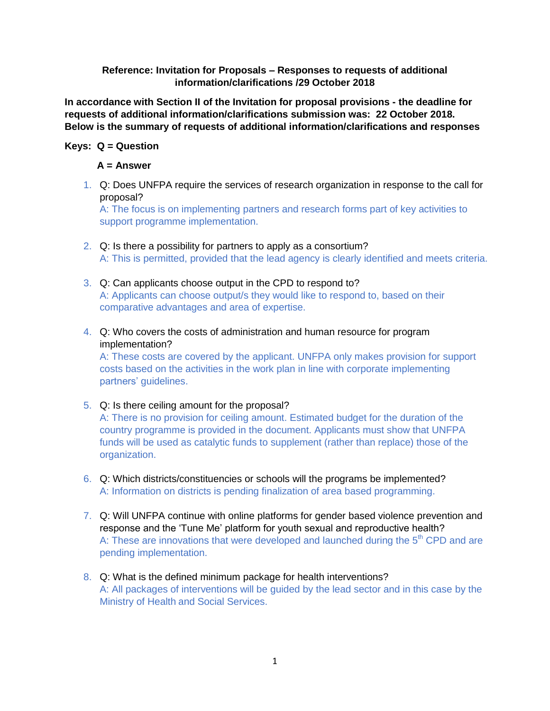## **Reference: Invitation for Proposals – Responses to requests of additional information/clarifications /29 October 2018**

**In accordance with Section II of the Invitation for proposal provisions - the deadline for requests of additional information/clarifications submission was: 22 October 2018. Below is the summary of requests of additional information/clarifications and responses**

## **Keys: Q = Question**

## **A = Answer**

1. Q: Does UNFPA require the services of research organization in response to the call for proposal?

A: The focus is on implementing partners and research forms part of key activities to support programme implementation.

- 2. Q: Is there a possibility for partners to apply as a consortium? A: This is permitted, provided that the lead agency is clearly identified and meets criteria.
- 3. Q: Can applicants choose output in the CPD to respond to? A: Applicants can choose output/s they would like to respond to, based on their comparative advantages and area of expertise.
- 4. Q: Who covers the costs of administration and human resource for program implementation?

A: These costs are covered by the applicant. UNFPA only makes provision for support costs based on the activities in the work plan in line with corporate implementing partners' guidelines.

5. Q: Is there ceiling amount for the proposal?

A: There is no provision for ceiling amount. Estimated budget for the duration of the country programme is provided in the document. Applicants must show that UNFPA funds will be used as catalytic funds to supplement (rather than replace) those of the organization.

- 6. Q: Which districts/constituencies or schools will the programs be implemented? A: Information on districts is pending finalization of area based programming.
- 7. Q: Will UNFPA continue with online platforms for gender based violence prevention and response and the 'Tune Me' platform for youth sexual and reproductive health? A: These are innovations that were developed and launched during the  $5<sup>th</sup>$  CPD and are pending implementation.
- 8. Q: What is the defined minimum package for health interventions? A: All packages of interventions will be guided by the lead sector and in this case by the Ministry of Health and Social Services.